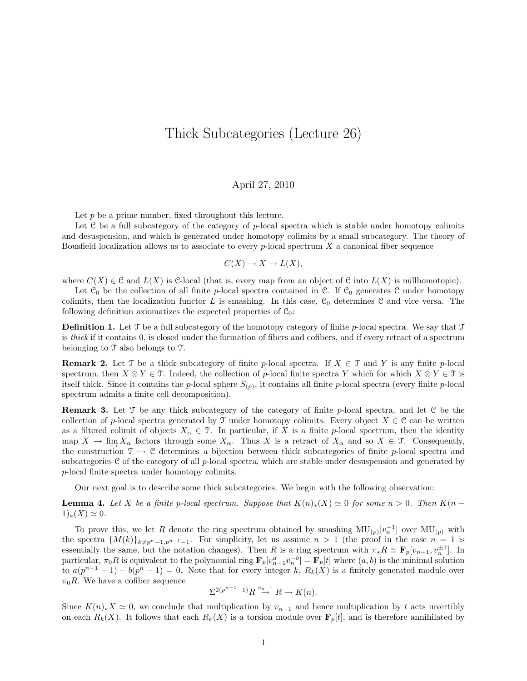## Thick Subcategories (Lecture 26)

## April 27, 2010

Let  $p$  be a prime number, fixed throughout this lecture.

Let  $C$  be a full subcategory of the category of  $p$ -local spectra which is stable under homotopy colimits and desuspension, and which is generated under homotopy colimits by a small subcategory. The theory of Bousfield localization allows us to associate to every  $p$ -local spectrum  $X$  a canonical fiber sequence

$$
C(X) \to X \to L(X),
$$

where  $C(X) \in \mathcal{C}$  and  $L(X)$  is C-local (that is, every map from an object of  $\mathcal{C}$  into  $L(X)$  is nullhomotopic).

Let  $\mathcal{C}_0$  be the collection of all finite p-local spectra contained in  $\mathcal{C}$ . If  $\mathcal{C}_0$  generates  $\mathcal{C}$  under homotopy colimits, then the localization functor L is smashing. In this case,  $\mathcal{C}_0$  determines  $\mathcal C$  and vice versa. The following definition axiomatizes the expected properties of  $\mathcal{C}_0$ :

**Definition 1.** Let  $\mathcal{T}$  be a full subcategory of the homotopy category of finite p-local spectra. We say that  $\mathcal{T}$ is thick if it contains 0, is closed under the formation of fibers and cofibers, and if every retract of a spectrum belonging to T also belongs to T.

**Remark 2.** Let T be a thick subcategory of finite p-local spectra. If  $X \in \mathcal{T}$  and Y is any finite p-local spectrum, then  $X \otimes Y \in \mathcal{T}$ . Indeed, the collection of p-local finite spectra Y which for which  $X \otimes Y \in \mathcal{T}$  is itself thick. Since it contains the p-local sphere  $S_{(p)}$ , it contains all finite p-local spectra (every finite p-local spectrum admits a finite cell decomposition).

**Remark 3.** Let  $\mathcal{T}$  be any thick subcategory of the category of finite p-local spectra, and let  $\mathcal{C}$  be the collection of p-local spectra generated by T under homotopy colimits. Every object  $X \in \mathcal{C}$  can be written as a filtered colimit of objects  $X_\alpha \in \mathcal{T}$ . In particular, if X is a finite p-local spectrum, then the identity map  $X \to \lim_{\alpha \to 0} X_{\alpha}$  factors through some  $X_{\alpha}$ . Thus X is a retract of  $X_{\alpha}$  and so  $X \in \mathcal{T}$ . Consequently, the construction  $\mathcal{T} \mapsto \mathcal{C}$  determines a bijection between thick subcategories of finite p-local spectra and subcategories C of the category of all p-local spectra, which are stable under desuspension and generated by p-local finite spectra under homotopy colimits.

Our next goal is to describe some thick subcategories. We begin with the following observation:

**Lemma 4.** Let X be a finite p-local spectrum. Suppose that  $K(n)_*(X) \simeq 0$  for some  $n > 0$ . Then  $K(n - 1)$  $(1)_*(X) \simeq 0.$ 

To prove this, we let R denote the ring spectrum obtained by smashing  $\mathrm{MU}_{(p)}[v_n^{-1}]$  over  $\mathrm{MU}_{(p)}$  with the spectra  $\{M(k)\}_{k\neq p^n-1,p^{n-1}-1}$ . For simplicity, let us assume  $n > 1$  (the proof in the case  $n = 1$  is essentially the same, but the notation changes). Then R is a ring spectrum with  $\pi_* R \simeq \mathbf{F}_p[v_{n-1}, v_n^{\pm 1}]$ . In particular,  $\pi_0 R$  is equivalent to the polynomial ring  $\mathbf{F}_p[v_{n-1}^a v_n^{-b}] = \mathbf{F}_p[t]$  where  $(a, b)$  is the minimal solution to  $a(p^{n-1}-1)-b(p^n-1)=0$ . Note that for every integer k,  $R_k(X)$  is a finitely generated module over  $\pi_0R$ . We have a cofiber sequence

$$
\Sigma^{2(p^{n-1}-1)}R \stackrel{v_{n-1}}{\to} R \to K(n).
$$

Since  $K(n)_*X \simeq 0$ , we conclude that multiplication by  $v_{n-1}$  and hence multiplication by t acts invertibly on each  $R_k(X)$ . It follows that each  $R_k(X)$  is a torsion module over  $\mathbf{F}_p[t]$ , and is therefore annihilated by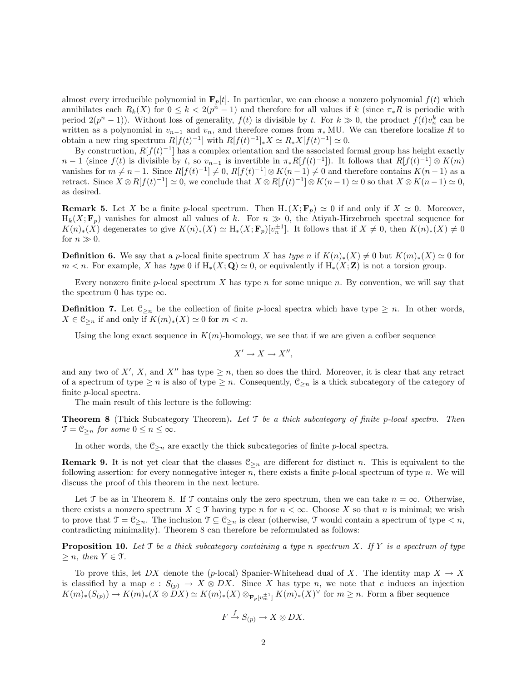almost every irreducible polynomial in  $\mathbf{F}_p[t]$ . In particular, we can choose a nonzero polynomial  $f(t)$  which annihilates each  $R_k(X)$  for  $0 \leq k < 2(p^n-1)$  and therefore for all values if k (since  $\pi_*R$  is periodic with period  $2(p^{n}-1)$ ). Without loss of generality,  $f(t)$  is divisible by t. For  $k \gg 0$ , the product  $f(t)v_{n}^{k}$  can be written as a polynomial in  $v_{n-1}$  and  $v_n$ , and therefore comes from  $\pi_*$  MU. We can therefore localize R to obtain a new ring spectrum  $R[f(t)^{-1}]$  with  $R[f(t)^{-1}]_*X \simeq R_*X[f(t)^{-1}] \simeq 0$ .

By construction,  $R[f(t)^{-1}]$  has a complex orientation and the associated formal group has height exactly  $n-1$  (since  $f(t)$  is divisible by t, so  $v_{n-1}$  is invertible in  $\pi_* R[f(t)^{-1}]$ ). It follows that  $R[f(t)^{-1}] \otimes K(m)$ vanishes for  $m \neq n-1$ . Since  $R[f(t)^{-1}] \neq 0$ ,  $R[f(t)^{-1}] \otimes K(n-1) \neq 0$  and therefore contains  $K(n-1)$  as a retract. Since  $X \otimes R[f(t)^{-1}] \simeq 0$ , we conclude that  $X \otimes R[f(t)^{-1}] \otimes K(n-1) \simeq 0$  so that  $X \otimes K(n-1) \simeq 0$ , as desired.

**Remark 5.** Let X be a finite p-local spectrum. Then  $H_*(X; \mathbf{F}_p) \simeq 0$  if and only if  $X \simeq 0$ . Moreover,  $H_k(X; \mathbf{F}_p)$  vanishes for almost all values of k. For  $n \gg 0$ , the Atiyah-Hirzebruch spectral sequence for  $K(n)_*(X)$  degenerates to give  $K(n)_*(X) \simeq H_*(X; \mathbf{F}_p)[v_n^{\pm 1}]$ . It follows that if  $X \neq 0$ , then  $K(n)_*(X) \neq 0$ for  $n \gg 0$ .

**Definition 6.** We say that a p-local finite spectrum X has type n if  $K(n)_*(X) \neq 0$  but  $K(m)_*(X) \simeq 0$  for  $m < n$ . For example, X has type 0 if  $H_*(X; Q) \simeq 0$ , or equivalently if  $H_*(X; Z)$  is not a torsion group.

Every nonzero finite  $p$ -local spectrum X has type  $n$  for some unique  $n$ . By convention, we will say that the spectrum 0 has type  $\infty$ .

**Definition 7.** Let  $\mathfrak{C}_{\geq n}$  be the collection of finite p-local spectra which have type  $\geq n$ . In other words,  $X \in \mathfrak{C}_{\geq n}$  if and only if  $K(m)_*(X) \simeq 0$  for  $m < n$ .

Using the long exact sequence in  $K(m)$ -homology, we see that if we are given a cofiber sequence

$$
X' \to X \to X'',
$$

and any two of X', X, and X'' has type  $\geq n$ , then so does the third. Moreover, it is clear that any retract of a spectrum of type  $\geq n$  is also of type  $\geq n$ . Consequently,  $\mathfrak{C}_{\geq n}$  is a thick subcategory of the category of finite p-local spectra.

The main result of this lecture is the following:

**Theorem 8** (Thick Subcategory Theorem). Let  $\mathcal{T}$  be a thick subcategory of finite p-local spectra. Then  $\mathfrak{T} = \mathfrak{C}_{\geq n}$  for some  $0 \leq n \leq \infty$ .

In other words, the  $\mathfrak{C}_{\geq n}$  are exactly the thick subcategories of finite p-local spectra.

**Remark 9.** It is not yet clear that the classes  $\mathcal{C}_{\geq n}$  are different for distinct n. This is equivalent to the following assertion: for every nonnegative integer  $n$ , there exists a finite  $p$ -local spectrum of type  $n$ . We will discuss the proof of this theorem in the next lecture.

Let T be as in Theorem 8. If T contains only the zero spectrum, then we can take  $n = \infty$ . Otherwise, there exists a nonzero spectrum  $X \in \mathcal{T}$  having type n for  $n < \infty$ . Choose X so that n is minimal; we wish to prove that  $\mathfrak{T} = \mathfrak{C}_{\geq n}$ . The inclusion  $\mathfrak{T} \subseteq \mathfrak{C}_{\geq n}$  is clear (otherwise,  $\mathfrak{T}$  would contain a spectrum of type  $\lt n$ , contradicting minimality). Theorem 8 can therefore be reformulated as follows:

**Proposition 10.** Let  $\mathcal{T}$  be a thick subcategory containing a type n spectrum X. If Y is a spectrum of type  $\geq n$ , then  $Y \in \mathcal{T}$ .

To prove this, let DX denote the (p-local) Spanier-Whitehead dual of X. The identity map  $X \to X$ is classified by a map  $e : S_{(p)} \to X \otimes DX$ . Since X has type n, we note that e induces an injection  $K(m)_*(S_{(p)}) \to K(m)_*(X \otimes \check{D}X) \simeq K(m)_*(X) \otimes_{\mathbf{F}_p[v_m^{\pm 1}]} K(m)_*(X)^\vee$  for  $m \geq n$ . Form a fiber sequence

$$
F \xrightarrow{f} S_{(p)} \to X \otimes DX.
$$